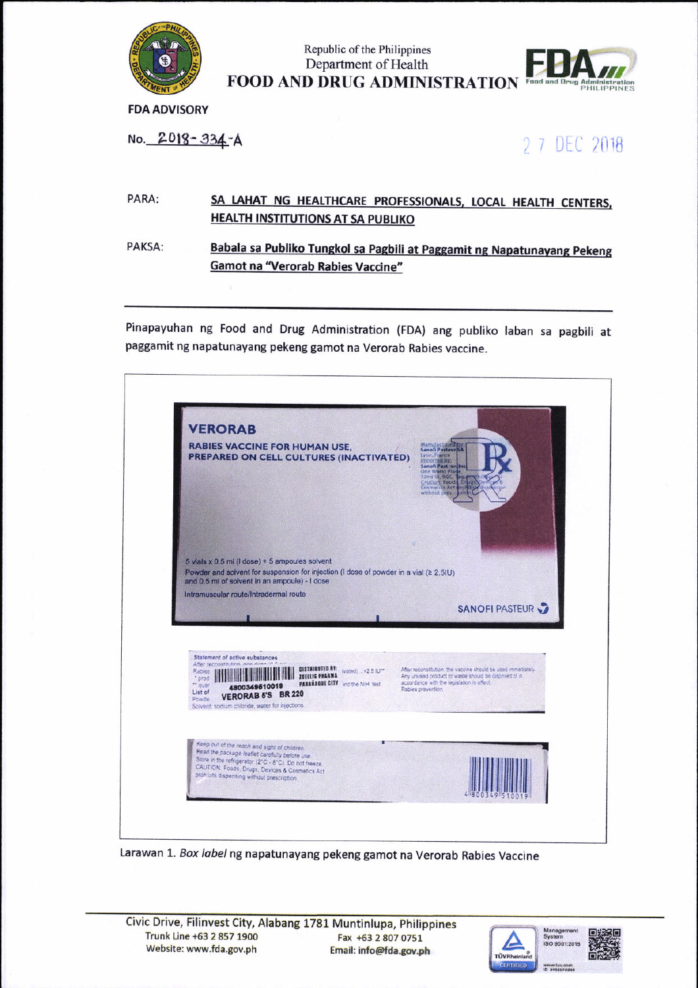

Republic of the Philippines Department of Health **FOOD AND DRUG ADMINISTRATION** Food and Dr



**FDA ADVISORY** 

No. 2018-334-A

2 7 DEC 2018

## PARA: SA LAHAT NG HEALTHCARE PROFESSIONALS, LOCAL HEALTH CENTERS, **HEALTH INSTITUTIONS AT SA PUBLIKO**

PAKSA: Babala sa Publiko Tungkol sa Pagbili at Paggamit ng Napatunayang Pekeng **Gamot na "Verorab Rabies Vaccine"** 

Pinapayuhan ng Food and Drug Administration (FDA) ang publiko laban sa pagbili at paggamit ng napatunayang pekeng gamot na Verorab Rabies vaccine.



Larawan 1. Box label ng napatunayang pekeng gamot na Verorab Rabies Vaccine



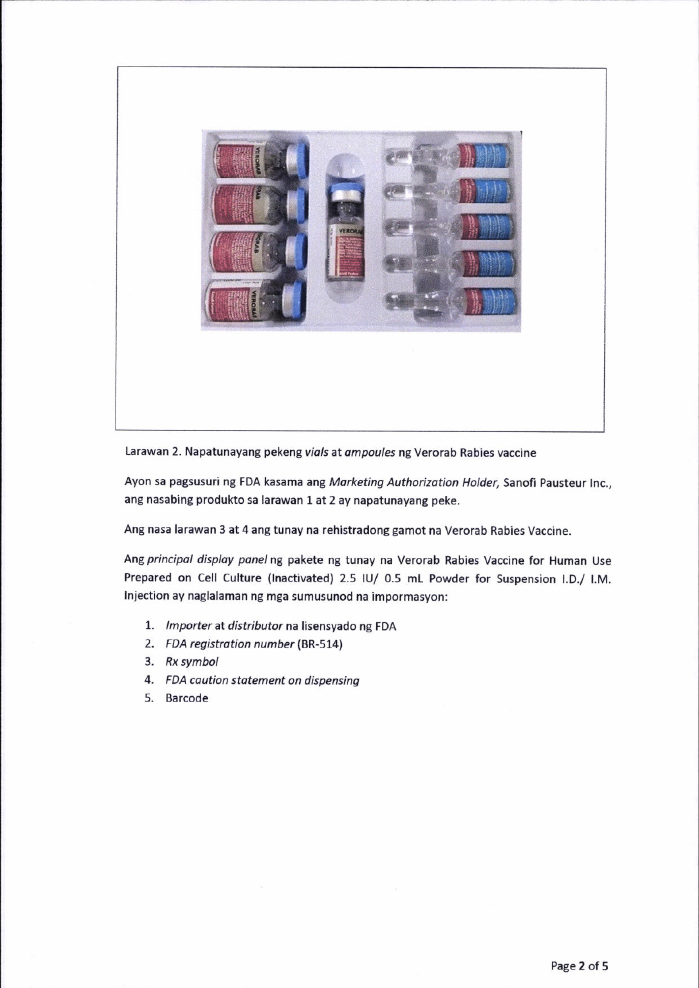

Larawan 2. Napatunayang pekeng vials at ampoules ng Verorab Rabies vaccine

Ayon sa pagsusuri ng FDA kasama ang Marketing Authorization Holder, Sanofi Pausteur Inc., ang nasabing produkto sa larawan 1 at 2 ay napatunayang peke.

Ang nasa larawan 3 at 4 ang tunay na rehistradong gamot na Verorab Rabies Vaccine.

Ang principal display panel ng pakete ng tunay na Verorab Rabies Vaccine for Human Use Prepared on Cell Culture (lnactivated) 2.5 lU/ O.5 mL Powder for Suspension l.D./ l.M. lnjection ay naglalaman ng mga sumusunod na impormasyon:

- 1. lmporter at distributor na lisensyado ng FDA
- 2. FDA registration number (BR-514)
- 3. Rx symbol
- 4. FDA caution statement on dispensing
- 5. Barcode